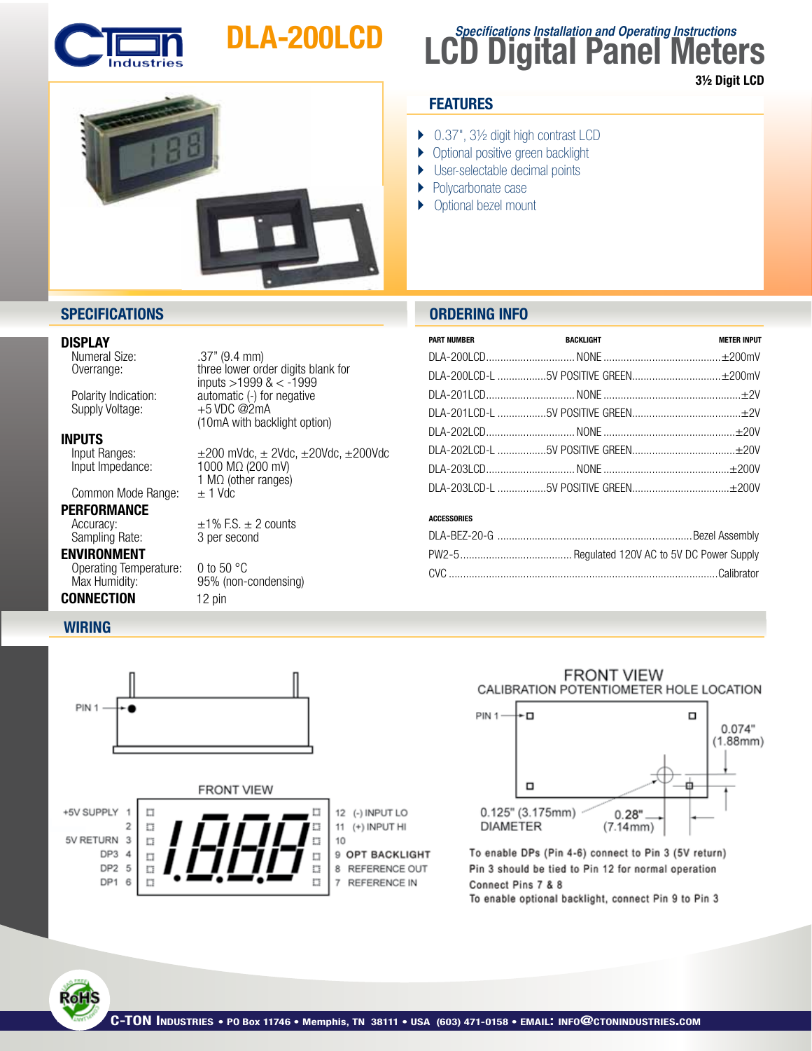

# DLA-200LCD



## **LCD Digital Panel Meters Specifications Installation and Operating Instructions**

3½ Digit LCD

### **FEATURES**

- ▶ 0.37", 3½ digit high contrast LCD
- **Optional positive green backlight**
- } User-selectable decimal points
- } Polycarbonate case
- ▶ Optional bezel mount

### **SPECIFICATIONS ORDERING INFO**

**DISPLAY**<br>
Numeral Size: Numeral Size: .37" (9.4 mm)

Supply Voltage:

**INPUTS**<br>Input Ranges:

Common Mode Range:

## **PERFORMANCE**<br>Accuracy:

Sampling Rate:

Operating Temperature: 0 to 50 °C Max Humidity: 95% (non-condensing)

### **CONNECTION** 12 pin

DP1 6  $\overline{\mathbb{Z}}$ 

**RoH** 

 Overrange: three lower order digits blank for  $inputs > 1999$  &  $< -1999$ <br>Polarity Indication: automatic (-) for negative automatic (-) for negative  $+5$  VDC @2mA (10mA with backlight option)

Input Ranges:  $\pm 200$  mVdc,  $\pm 20$ dc,  $\pm 20$ Vdc,  $\pm 200$ Vdc<br>Input Impedance: 1000 M $\Omega$  (200 mV) 1000 MΩ (200 mV) 1 M $\Omega$  (other ranges)<br> $\pm$  1 Vdc

 $±1\%$  F.S.  $±$  2 counts<br>3 per second

| <b>PART NUMBER</b> | <b>BACKLIGHT</b> | <b>METER INPUT</b> |
|--------------------|------------------|--------------------|
|                    |                  |                    |
|                    |                  |                    |
|                    |                  |                    |
|                    |                  |                    |
|                    |                  |                    |
|                    |                  |                    |
|                    |                  |                    |
|                    |                  |                    |

### ACCESSORIES





n

 $\overline{7}$ REFERENCE IN

### **FRONT VIEW** CALIBRATION POTENTIOMETER HOLE LOCATION



To enable DPs (Pin 4-6) connect to Pin 3 (5V return) Pin 3 should be tied to Pin 12 for normal operation Connect Pins 7 & 8 To enable optional backlight, connect Pin 9 to Pin 3

ENVIRONMENT

**WIRING**